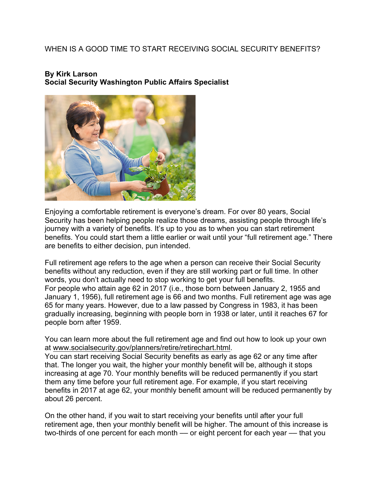## WHEN IS A GOOD TIME TO START RECEIVING SOCIAL SECURITY BENEFITS?

## **By Kirk Larson Social Security Washington Public Affairs Specialist**



Enjoying a comfortable retirement is everyone's dream. For over 80 years, Social Security has been helping people realize those dreams, assisting people through life's journey with a variety of benefits. It's up to you as to when you can start retirement benefits. You could start them a little earlier or wait until your "full retirement age." There are benefits to either decision, pun intended.

Full retirement age refers to the age when a person can receive their Social Security benefits without any reduction, even if they are still working part or full time. In other words, you don't actually need to stop working to get your full benefits. For people who attain age 62 in 2017 (i.e., those born between January 2, 1955 and January 1, 1956), full retirement age is 66 and two months. Full retirement age was age 65 for many years. However, due to a law passed by Congress in 1983, it has been gradually increasing, beginning with people born in 1938 or later, until it reaches 67 for people born after 1959.

You can learn more about the full retirement age and find out how to look up your own at www.socialsecurity.gov/planners/retire/retirechart.html.

You can start receiving Social Security benefits as early as age 62 or any time after that. The longer you wait, the higher your monthly benefit will be, although it stops increasing at age 70. Your monthly benefits will be reduced permanently if you start them any time before your full retirement age. For example, if you start receiving benefits in 2017 at age 62, your monthly benefit amount will be reduced permanently by about 26 percent.

On the other hand, if you wait to start receiving your benefits until after your full retirement age, then your monthly benefit will be higher. The amount of this increase is two-thirds of one percent for each month — or eight percent for each year — that you